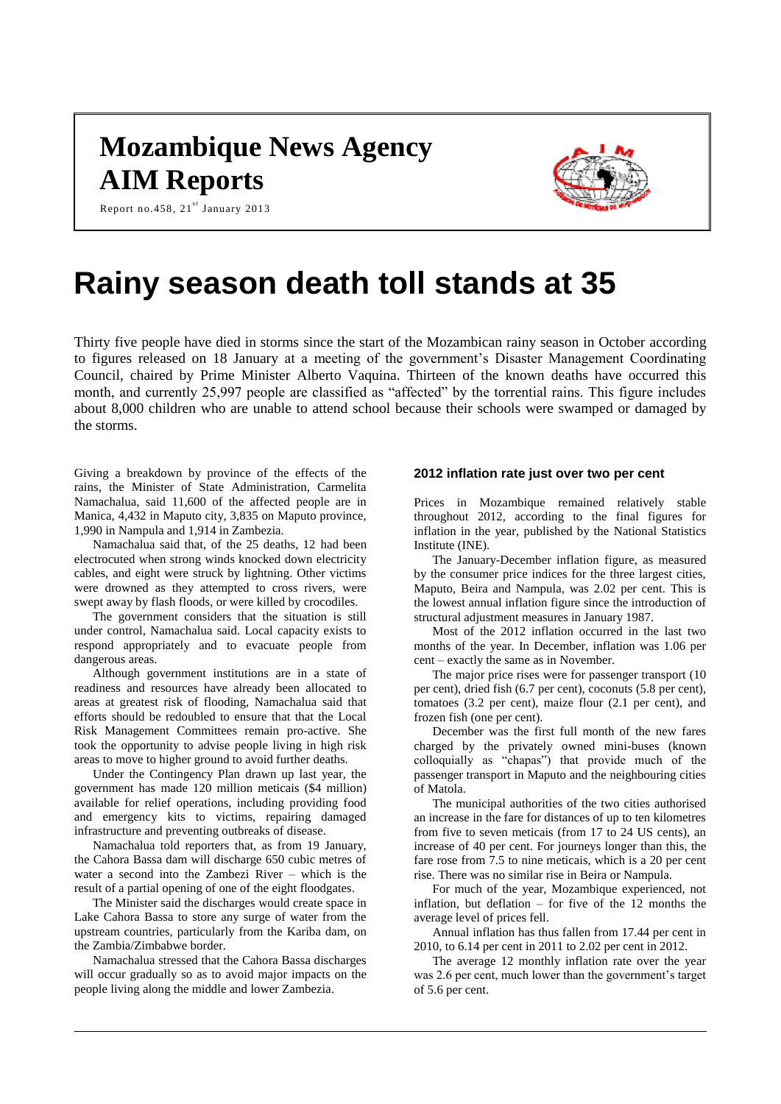# **Mozambique News Agency AIM Reports**



Report no.458,  $21^{st}$  January 2013

# **Rainy season death toll stands at 35**

Thirty five people have died in storms since the start of the Mozambican rainy season in October according to figures released on 18 January at a meeting of the government's Disaster Management Coordinating Council, chaired by Prime Minister Alberto Vaquina. Thirteen of the known deaths have occurred this month, and currently 25,997 people are classified as "affected" by the torrential rains. This figure includes about 8,000 children who are unable to attend school because their schools were swamped or damaged by the storms.

Giving a breakdown by province of the effects of the rains, the Minister of State Administration, Carmelita Namachalua, said 11,600 of the affected people are in Manica, 4,432 in Maputo city, 3,835 on Maputo province, 1,990 in Nampula and 1,914 in Zambezia.

Namachalua said that, of the 25 deaths, 12 had been electrocuted when strong winds knocked down electricity cables, and eight were struck by lightning. Other victims were drowned as they attempted to cross rivers, were swept away by flash floods, or were killed by crocodiles.

The government considers that the situation is still under control, Namachalua said. Local capacity exists to respond appropriately and to evacuate people from dangerous areas.

Although government institutions are in a state of readiness and resources have already been allocated to areas at greatest risk of flooding, Namachalua said that efforts should be redoubled to ensure that that the Local Risk Management Committees remain pro-active. She took the opportunity to advise people living in high risk areas to move to higher ground to avoid further deaths.

Under the Contingency Plan drawn up last year, the government has made 120 million meticais (\$4 million) available for relief operations, including providing food and emergency kits to victims, repairing damaged infrastructure and preventing outbreaks of disease.

Namachalua told reporters that, as from 19 January, the Cahora Bassa dam will discharge 650 cubic metres of water a second into the Zambezi River – which is the result of a partial opening of one of the eight floodgates.

The Minister said the discharges would create space in Lake Cahora Bassa to store any surge of water from the upstream countries, particularly from the Kariba dam, on the Zambia/Zimbabwe border.

Namachalua stressed that the Cahora Bassa discharges will occur gradually so as to avoid major impacts on the people living along the middle and lower Zambezia.

#### **2012 inflation rate just over two per cent**

Prices in Mozambique remained relatively stable throughout 2012, according to the final figures for inflation in the year, published by the National Statistics Institute (INE).

The January-December inflation figure, as measured by the consumer price indices for the three largest cities, Maputo, Beira and Nampula, was 2.02 per cent. This is the lowest annual inflation figure since the introduction of structural adjustment measures in January 1987.

Most of the 2012 inflation occurred in the last two months of the year. In December, inflation was 1.06 per cent – exactly the same as in November.

The major price rises were for passenger transport (10 per cent), dried fish (6.7 per cent), coconuts (5.8 per cent), tomatoes (3.2 per cent), maize flour (2.1 per cent), and frozen fish (one per cent).

December was the first full month of the new fares charged by the privately owned mini-buses (known colloquially as "chapas") that provide much of the passenger transport in Maputo and the neighbouring cities of Matola.

The municipal authorities of the two cities authorised an increase in the fare for distances of up to ten kilometres from five to seven meticais (from 17 to 24 US cents), an increase of 40 per cent. For journeys longer than this, the fare rose from 7.5 to nine meticais, which is a 20 per cent rise. There was no similar rise in Beira or Nampula.

For much of the year, Mozambique experienced, not inflation, but deflation – for five of the 12 months the average level of prices fell.

Annual inflation has thus fallen from 17.44 per cent in 2010, to 6.14 per cent in 2011 to 2.02 per cent in 2012.

The average 12 monthly inflation rate over the year was 2.6 per cent, much lower than the government's target of 5.6 per cent.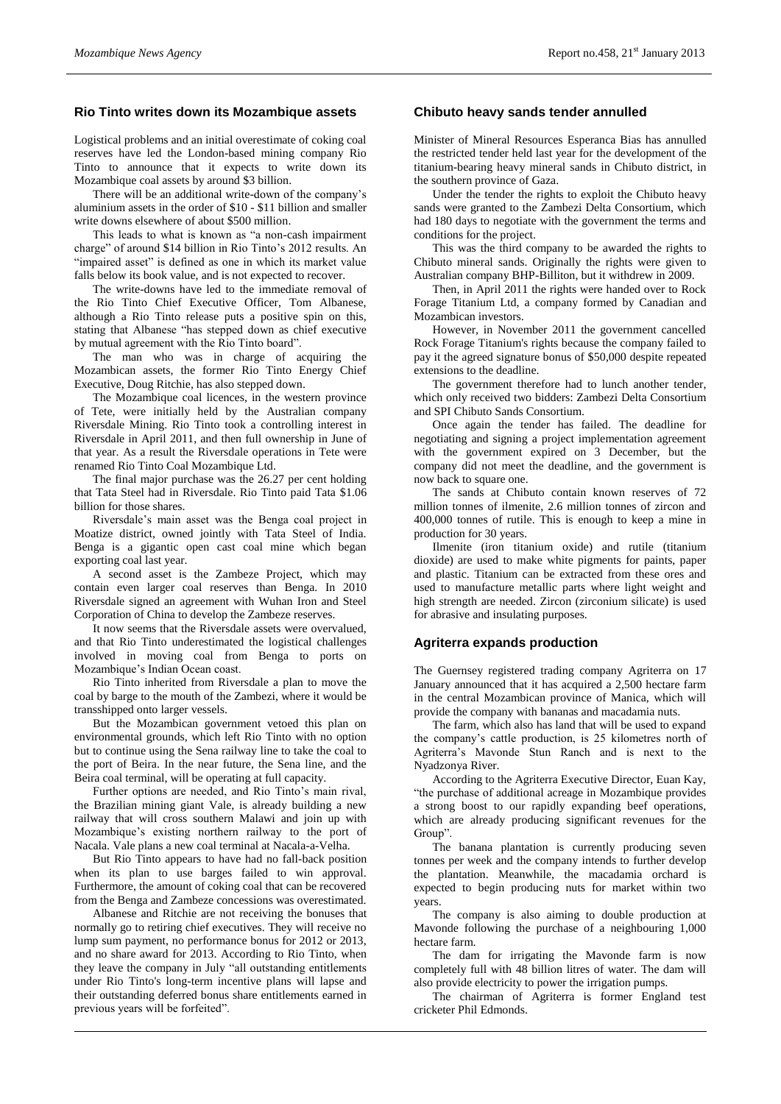# **Rio Tinto writes down its Mozambique assets**

Logistical problems and an initial overestimate of coking coal reserves have led the London-based mining company Rio Tinto to announce that it expects to write down its Mozambique coal assets by around \$3 billion.

There will be an additional write-down of the company's aluminium assets in the order of \$10 - \$11 billion and smaller write downs elsewhere of about \$500 million.

This leads to what is known as "a non-cash impairment charge" of around \$14 billion in Rio Tinto's 2012 results. An "impaired asset" is defined as one in which its market value falls below its book value, and is not expected to recover.

The write-downs have led to the immediate removal of the Rio Tinto Chief Executive Officer, Tom Albanese, although a Rio Tinto release puts a positive spin on this, stating that Albanese "has stepped down as chief executive by mutual agreement with the Rio Tinto board".

The man who was in charge of acquiring the Mozambican assets, the former Rio Tinto Energy Chief Executive, Doug Ritchie, has also stepped down.

The Mozambique coal licences, in the western province of Tete, were initially held by the Australian company Riversdale Mining. Rio Tinto took a controlling interest in Riversdale in April 2011, and then full ownership in June of that year. As a result the Riversdale operations in Tete were renamed Rio Tinto Coal Mozambique Ltd.

The final major purchase was the 26.27 per cent holding that Tata Steel had in Riversdale. Rio Tinto paid Tata \$1.06 billion for those shares.

Riversdale's main asset was the Benga coal project in Moatize district, owned jointly with Tata Steel of India. Benga is a gigantic open cast coal mine which began exporting coal last year.

A second asset is the Zambeze Project, which may contain even larger coal reserves than Benga. In 2010 Riversdale signed an agreement with Wuhan Iron and Steel Corporation of China to develop the Zambeze reserves.

It now seems that the Riversdale assets were overvalued, and that Rio Tinto underestimated the logistical challenges involved in moving coal from Benga to ports on Mozambique's Indian Ocean coast.

Rio Tinto inherited from Riversdale a plan to move the coal by barge to the mouth of the Zambezi, where it would be transshipped onto larger vessels.

But the Mozambican government vetoed this plan on environmental grounds, which left Rio Tinto with no option but to continue using the Sena railway line to take the coal to the port of Beira. In the near future, the Sena line, and the Beira coal terminal, will be operating at full capacity.

Further options are needed, and Rio Tinto's main rival, the Brazilian mining giant Vale, is already building a new railway that will cross southern Malawi and join up with Mozambique's existing northern railway to the port of Nacala. Vale plans a new coal terminal at Nacala-a-Velha.

But Rio Tinto appears to have had no fall-back position when its plan to use barges failed to win approval. Furthermore, the amount of coking coal that can be recovered from the Benga and Zambeze concessions was overestimated.

Albanese and Ritchie are not receiving the bonuses that normally go to retiring chief executives. They will receive no lump sum payment, no performance bonus for 2012 or 2013, and no share award for 2013. According to Rio Tinto, when they leave the company in July "all outstanding entitlements under Rio Tinto's long-term incentive plans will lapse and their outstanding deferred bonus share entitlements earned in previous years will be forfeited".

# **Chibuto heavy sands tender annulled**

Minister of Mineral Resources Esperanca Bias has annulled the restricted tender held last year for the development of the titanium-bearing heavy mineral sands in Chibuto district, in the southern province of Gaza.

Under the tender the rights to exploit the Chibuto heavy sands were granted to the Zambezi Delta Consortium, which had 180 days to negotiate with the government the terms and conditions for the project.

This was the third company to be awarded the rights to Chibuto mineral sands. Originally the rights were given to Australian company BHP-Billiton, but it withdrew in 2009.

Then, in April 2011 the rights were handed over to Rock Forage Titanium Ltd, a company formed by Canadian and Mozambican investors.

However, in November 2011 the government cancelled Rock Forage Titanium's rights because the company failed to pay it the agreed signature bonus of \$50,000 despite repeated extensions to the deadline.

The government therefore had to lunch another tender, which only received two bidders: Zambezi Delta Consortium and SPI Chibuto Sands Consortium.

Once again the tender has failed. The deadline for negotiating and signing a project implementation agreement with the government expired on 3 December, but the company did not meet the deadline, and the government is now back to square one.

The sands at Chibuto contain known reserves of 72 million tonnes of ilmenite, 2.6 million tonnes of zircon and 400,000 tonnes of rutile. This is enough to keep a mine in production for 30 years.

Ilmenite (iron titanium oxide) and rutile (titanium dioxide) are used to make white pigments for paints, paper and plastic. Titanium can be extracted from these ores and used to manufacture metallic parts where light weight and high strength are needed. Zircon (zirconium silicate) is used for abrasive and insulating purposes.

#### **Agriterra expands production**

The Guernsey registered trading company Agriterra on 17 January announced that it has acquired a 2,500 hectare farm in the central Mozambican province of Manica, which will provide the company with bananas and macadamia nuts.

The farm, which also has land that will be used to expand the company's cattle production, is 25 kilometres north of Agriterra's Mavonde Stun Ranch and is next to the Nyadzonya River.

According to the Agriterra Executive Director, Euan Kay, "the purchase of additional acreage in Mozambique provides a strong boost to our rapidly expanding beef operations, which are already producing significant revenues for the Group".

The banana plantation is currently producing seven tonnes per week and the company intends to further develop the plantation. Meanwhile, the macadamia orchard is expected to begin producing nuts for market within two years.

The company is also aiming to double production at Mavonde following the purchase of a neighbouring 1,000 hectare farm.

The dam for irrigating the Mavonde farm is now completely full with 48 billion litres of water. The dam will also provide electricity to power the irrigation pumps.

The chairman of Agriterra is former England test cricketer Phil Edmonds.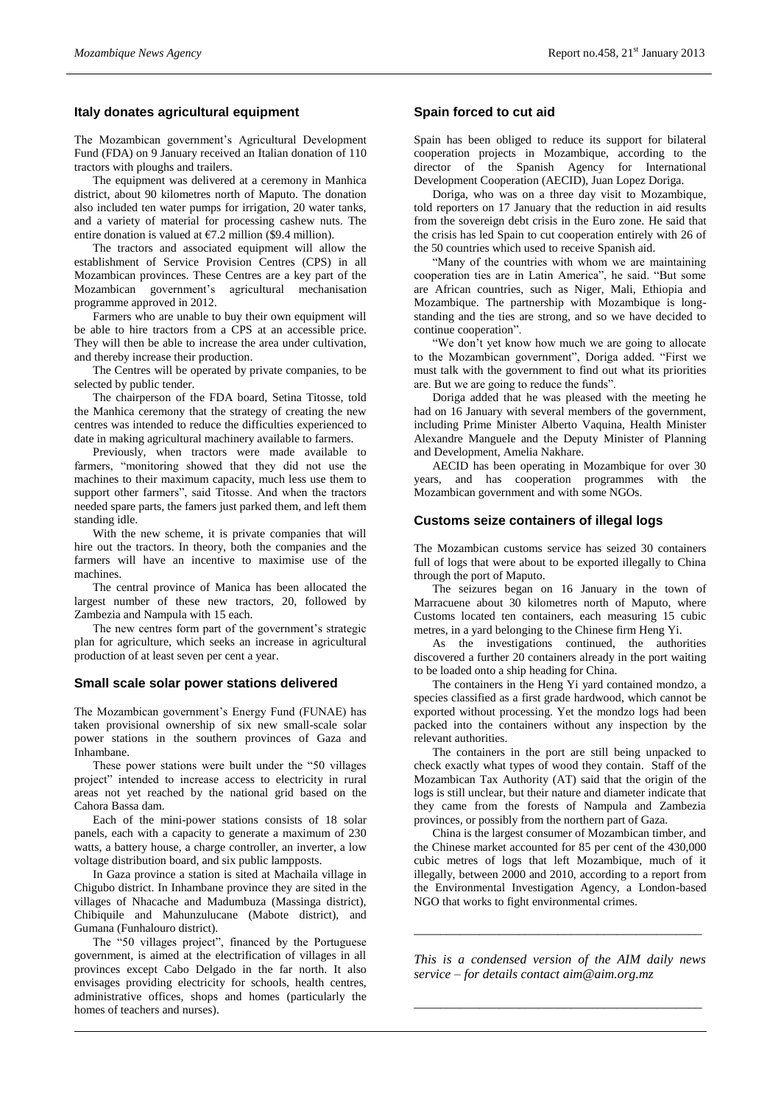# **Italy donates agricultural equipment**

The Mozambican government's Agricultural Development Fund (FDA) on 9 January received an Italian donation of 110 tractors with ploughs and trailers.

The equipment was delivered at a ceremony in Manhica district, about 90 kilometres north of Maputo. The donation also included ten water pumps for irrigation, 20 water tanks, and a variety of material for processing cashew nuts. The entire donation is valued at  $\epsilon$ 7.2 million (\$9.4 million).

The tractors and associated equipment will allow the establishment of Service Provision Centres (CPS) in all Mozambican provinces. These Centres are a key part of the Mozambican government's agricultural mechanisation programme approved in 2012.

Farmers who are unable to buy their own equipment will be able to hire tractors from a CPS at an accessible price. They will then be able to increase the area under cultivation, and thereby increase their production.

The Centres will be operated by private companies, to be selected by public tender.

The chairperson of the FDA board, Setina Titosse, told the Manhica ceremony that the strategy of creating the new centres was intended to reduce the difficulties experienced to date in making agricultural machinery available to farmers.

Previously, when tractors were made available to farmers, "monitoring showed that they did not use the machines to their maximum capacity, much less use them to support other farmers", said Titosse. And when the tractors needed spare parts, the famers just parked them, and left them standing idle.

With the new scheme, it is private companies that will hire out the tractors. In theory, both the companies and the farmers will have an incentive to maximise use of the machines.

The central province of Manica has been allocated the largest number of these new tractors, 20, followed by Zambezia and Nampula with 15 each.

The new centres form part of the government's strategic plan for agriculture, which seeks an increase in agricultural production of at least seven per cent a year.

#### **Small scale solar power stations delivered**

The Mozambican government's Energy Fund (FUNAE) has taken provisional ownership of six new small-scale solar power stations in the southern provinces of Gaza and Inhambane.

These power stations were built under the "50 villages project" intended to increase access to electricity in rural areas not yet reached by the national grid based on the Cahora Bassa dam.

Each of the mini-power stations consists of 18 solar panels, each with a capacity to generate a maximum of 230 watts, a battery house, a charge controller, an inverter, a low voltage distribution board, and six public lampposts.

In Gaza province a station is sited at Machaila village in Chigubo district. In Inhambane province they are sited in the villages of Nhacache and Madumbuza (Massinga district), Chibiquile and Mahunzulucane (Mabote district), and Gumana (Funhalouro district).

The "50 villages project", financed by the Portuguese government, is aimed at the electrification of villages in all provinces except Cabo Delgado in the far north. It also envisages providing electricity for schools, health centres, administrative offices, shops and homes (particularly the homes of teachers and nurses).

# **Spain forced to cut aid**

Spain has been obliged to reduce its support for bilateral cooperation projects in Mozambique, according to the director of the Spanish Agency for International Development Cooperation (AECID), Juan Lopez Doriga.

Doriga, who was on a three day visit to Mozambique, told reporters on 17 January that the reduction in aid results from the sovereign debt crisis in the Euro zone. He said that the crisis has led Spain to cut cooperation entirely with 26 of the 50 countries which used to receive Spanish aid.

"Many of the countries with whom we are maintaining cooperation ties are in Latin America", he said. "But some are African countries, such as Niger, Mali, Ethiopia and Mozambique. The partnership with Mozambique is longstanding and the ties are strong, and so we have decided to continue cooperation".

"We don't yet know how much we are going to allocate to the Mozambican government", Doriga added. "First we must talk with the government to find out what its priorities are. But we are going to reduce the funds".

Doriga added that he was pleased with the meeting he had on 16 January with several members of the government, including Prime Minister Alberto Vaquina, Health Minister Alexandre Manguele and the Deputy Minister of Planning and Development, Amelia Nakhare.

AECID has been operating in Mozambique for over 30 years, and has cooperation programmes with the Mozambican government and with some NGOs.

# **Customs seize containers of illegal logs**

The Mozambican customs service has seized 30 containers full of logs that were about to be exported illegally to China through the port of Maputo.

The seizures began on 16 January in the town of Marracuene about 30 kilometres north of Maputo, where Customs located ten containers, each measuring 15 cubic metres, in a yard belonging to the Chinese firm Heng Yi.

As the investigations continued, the authorities discovered a further 20 containers already in the port waiting to be loaded onto a ship heading for China.

The containers in the Heng Yi yard contained mondzo, a species classified as a first grade hardwood, which cannot be exported without processing. Yet the mondzo logs had been packed into the containers without any inspection by the relevant authorities.

The containers in the port are still being unpacked to check exactly what types of wood they contain. Staff of the Mozambican Tax Authority (AT) said that the origin of the logs is still unclear, but their nature and diameter indicate that they came from the forests of Nampula and Zambezia provinces, or possibly from the northern part of Gaza.

China is the largest consumer of Mozambican timber, and the Chinese market accounted for 85 per cent of the 430,000 cubic metres of logs that left Mozambique, much of it illegally, between 2000 and 2010, according to a report from the Environmental Investigation Agency, a London-based NGO that works to fight environmental crimes.

*This is a condensed version of the AIM daily news service – for details contact [aim@aim.org.mz](mailto:aim@aim.org.mz)*

*\_\_\_\_\_\_\_\_\_\_\_\_\_\_\_\_\_\_\_\_\_\_\_\_\_\_\_\_\_\_\_\_\_\_\_\_\_\_\_\_\_\_\_\_*

*\_\_\_\_\_\_\_\_\_\_\_\_\_\_\_\_\_\_\_\_\_\_\_\_\_\_\_\_\_\_\_\_\_\_\_\_\_\_\_\_\_\_\_\_*